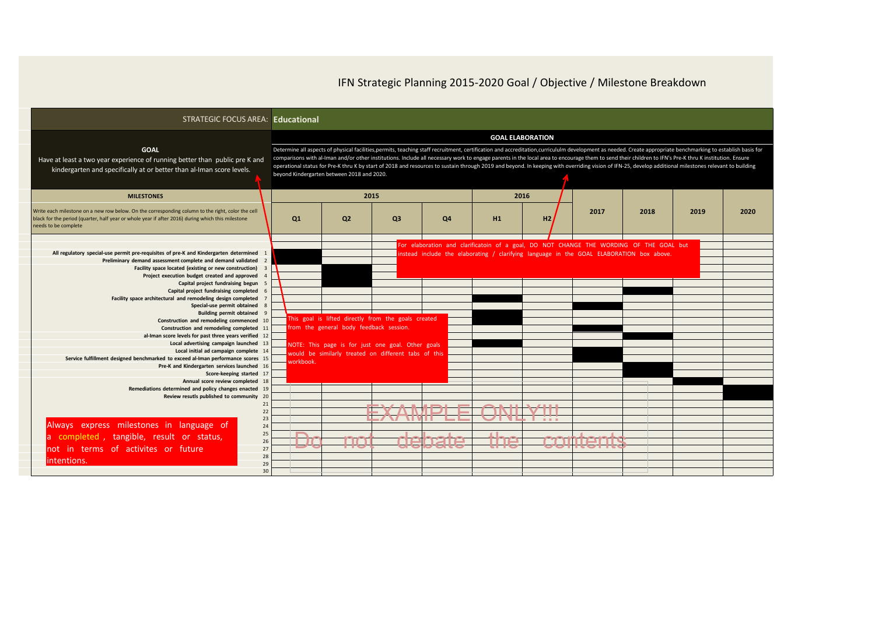| STRATEGIC FOCUS AREA: Educational                                                                                                                                                                                                                                                                                                                                                                                                                                                                                                                                                                                                                                                                                                                                                                                                                                                                                                                                                                                                                                                                                                                             |                                            |                                                      |                                                                                                                                                                  |                                  |                                                                                  |                         |                                                                                                                                                                                                                                                                                                                                                                                                                                                                                                                                                                                                                                |      |      |      |
|---------------------------------------------------------------------------------------------------------------------------------------------------------------------------------------------------------------------------------------------------------------------------------------------------------------------------------------------------------------------------------------------------------------------------------------------------------------------------------------------------------------------------------------------------------------------------------------------------------------------------------------------------------------------------------------------------------------------------------------------------------------------------------------------------------------------------------------------------------------------------------------------------------------------------------------------------------------------------------------------------------------------------------------------------------------------------------------------------------------------------------------------------------------|--------------------------------------------|------------------------------------------------------|------------------------------------------------------------------------------------------------------------------------------------------------------------------|----------------------------------|----------------------------------------------------------------------------------|-------------------------|--------------------------------------------------------------------------------------------------------------------------------------------------------------------------------------------------------------------------------------------------------------------------------------------------------------------------------------------------------------------------------------------------------------------------------------------------------------------------------------------------------------------------------------------------------------------------------------------------------------------------------|------|------|------|
| <b>GOAL</b><br>Have at least a two year experience of running better than public pre K and<br>kindergarten and specifically at or better than al-Iman score levels.                                                                                                                                                                                                                                                                                                                                                                                                                                                                                                                                                                                                                                                                                                                                                                                                                                                                                                                                                                                           | beyond Kindergarten between 2018 and 2020. |                                                      |                                                                                                                                                                  |                                  |                                                                                  | <b>GOAL ELABORATION</b> | Determine all aspects of physical facilities,permits, teaching staff recruitment, certification and accreditation,curricululm development as needed. Create appropriate benchmarking to establish basis for<br>comparisons with al-Iman and/or other institutions. Include all necessary work to engage parents in the local area to encourage them to send their children to IFN's Pre-K thru K institution. Ensure<br>operational status for Pre-K thru K by start of 2018 and resources to sustain through 2019 and beyond. In keeping with overriding vision of IFN-25, develop additional milestones relevant to building |      |      |      |
| <b>MILESTONES</b><br>Write each milestone on a new row below. On the corresponding column to the right, color the cell<br>black for the period (quarter, half year or whole year if after 2016) during which this milestone<br>needs to be complete                                                                                                                                                                                                                                                                                                                                                                                                                                                                                                                                                                                                                                                                                                                                                                                                                                                                                                           | Q1                                         | Q <sub>2</sub>                                       | 2015<br>O <sub>3</sub>                                                                                                                                           | Q <sub>4</sub>                   | H <sub>1</sub>                                                                   | 2016<br>H2I             | 2017                                                                                                                                                                                                                                                                                                                                                                                                                                                                                                                                                                                                                           | 2018 | 2019 | 2020 |
| All regulatory special-use permit pre-requisites of pre-K and Kindergarten determined<br>Preliminary demand assessment complete and demand validated<br>Facility space located (existing or new construction)<br>Project execution budget created and approved<br>Capital project fundraising begun<br>Capital project fundraising completed<br>Facility space architectural and remodeling design completed<br>Special-use permit obtained<br><b>Building permit obtained</b><br>Construction and remodeling commenced 10<br>Construction and remodeling completed<br>al-Iman score levels for past three years verified 12<br>Local advertising campaign launched<br>Local initial ad campaign complete 14<br>Service fulfillment designed benchmarked to exceed al-Iman performance scores 15<br>Pre-K and Kindergarten services launched<br>Score-keeping started 17<br>Annual score review completed<br>Remediations determined and policy changes enacted 19<br>Review resutls published to community 20<br>Always express milestones in language of<br>a completed, tangible, result or status,<br>not in terms of activites or future<br>lintentions. | orkbook<br>$\blacksquare$<br>. .<br>╺      | from the general body feedback session.<br>mo<br>TTV | This goal is lifted directly from the goals created<br>NOTE: This page is for just one goal. Other goals<br>would be similarly treated on different tabs of this | <b>TAINATA</b><br><u>aanaara</u> | <b>YAMDLE ONILYIII</b><br><b>SASTER CONTRACTOR</b><br><b>COLLECT</b><br>TNA<br>T |                         | For elaboration and clarificatoin of a goal, DO NOT CHANGE THE WORDING OF THE GOAL but<br>instead include the elaborating / clarifying language in the GOAL ELABORATION box above.<br>COMTANTS<br><b>OOTTCOLTG</b>                                                                                                                                                                                                                                                                                                                                                                                                             |      |      |      |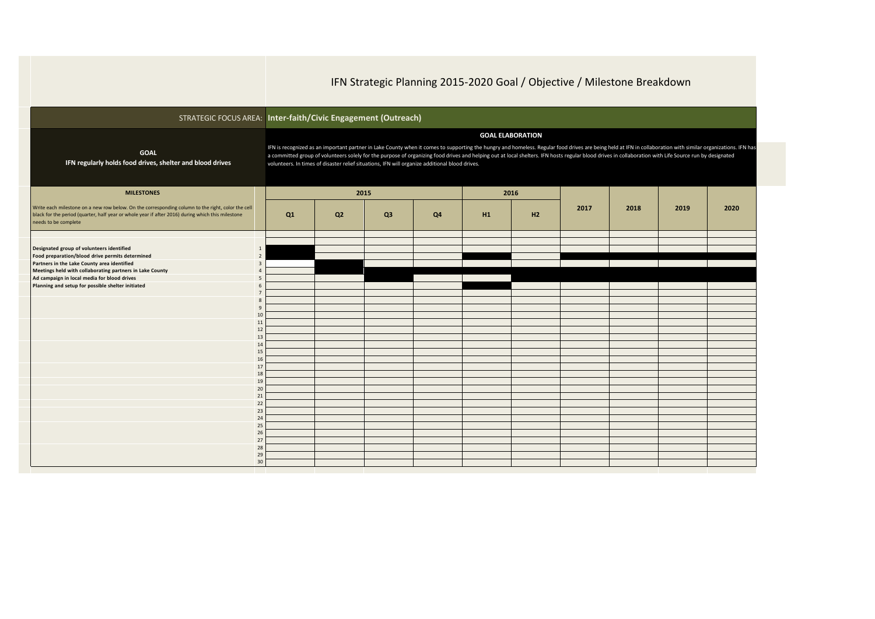|                                                                                                                                                                                                                                | STRATEGIC FOCUS AREA: Inter-faith/Civic Engagement (Outreach)                                                                                                                                                                                                                                                                                                                                                                                                                                                                                       |    |      |                |    |      |      |      |      |      |  |  |
|--------------------------------------------------------------------------------------------------------------------------------------------------------------------------------------------------------------------------------|-----------------------------------------------------------------------------------------------------------------------------------------------------------------------------------------------------------------------------------------------------------------------------------------------------------------------------------------------------------------------------------------------------------------------------------------------------------------------------------------------------------------------------------------------------|----|------|----------------|----|------|------|------|------|------|--|--|
| <b>GOAL</b><br>IFN regularly holds food drives, shelter and blood drives                                                                                                                                                       | <b>GOAL ELABORATION</b><br>IFN is recognized as an important partner in Lake County when it comes to supporting the hungry and homeless. Regular food drives are being held at IFN in collaboration with similar organizations. IFN has<br>a committed group of volunteers solely for the purpose of organizing food drives and helping out at local shelters. IFN hosts regular blood drives in collaboration with Life Source run by designated<br>volunteers. In times of disaster relief situations, IFN will organize additional blood drives. |    |      |                |    |      |      |      |      |      |  |  |
| <b>MILESTONES</b>                                                                                                                                                                                                              |                                                                                                                                                                                                                                                                                                                                                                                                                                                                                                                                                     |    | 2015 |                |    | 2016 |      |      |      |      |  |  |
| Write each milestone on a new row below. On the corresponding column to the right, color the cell<br>black for the period (quarter, half year or whole year if after 2016) during which this milestone<br>needs to be complete | Q1                                                                                                                                                                                                                                                                                                                                                                                                                                                                                                                                                  | Q2 | Q3   | Q <sub>4</sub> | H1 | H2   | 2017 | 2018 | 2019 | 2020 |  |  |
|                                                                                                                                                                                                                                |                                                                                                                                                                                                                                                                                                                                                                                                                                                                                                                                                     |    |      |                |    |      |      |      |      |      |  |  |
| Designated group of volunteers identified<br>1                                                                                                                                                                                 |                                                                                                                                                                                                                                                                                                                                                                                                                                                                                                                                                     |    |      |                |    |      |      |      |      |      |  |  |
| Food preparation/blood drive permits determined<br>$\overline{2}$<br>Partners in the Lake County area identified<br>$\overline{3}$                                                                                             |                                                                                                                                                                                                                                                                                                                                                                                                                                                                                                                                                     |    |      |                |    |      |      |      |      |      |  |  |
| Meetings held with collaborating partners in Lake County                                                                                                                                                                       |                                                                                                                                                                                                                                                                                                                                                                                                                                                                                                                                                     |    |      |                |    |      |      |      |      |      |  |  |
| Ad campaign in local media for blood drives<br>5                                                                                                                                                                               |                                                                                                                                                                                                                                                                                                                                                                                                                                                                                                                                                     |    |      |                |    |      |      |      |      |      |  |  |
| Planning and setup for possible shelter initiated                                                                                                                                                                              |                                                                                                                                                                                                                                                                                                                                                                                                                                                                                                                                                     |    |      |                |    |      |      |      |      |      |  |  |
|                                                                                                                                                                                                                                |                                                                                                                                                                                                                                                                                                                                                                                                                                                                                                                                                     |    |      |                |    |      |      |      |      |      |  |  |
| q                                                                                                                                                                                                                              |                                                                                                                                                                                                                                                                                                                                                                                                                                                                                                                                                     |    |      |                |    |      |      |      |      |      |  |  |
| 10                                                                                                                                                                                                                             |                                                                                                                                                                                                                                                                                                                                                                                                                                                                                                                                                     |    |      |                |    |      |      |      |      |      |  |  |
| 11                                                                                                                                                                                                                             |                                                                                                                                                                                                                                                                                                                                                                                                                                                                                                                                                     |    |      |                |    |      |      |      |      |      |  |  |
| 12<br>13                                                                                                                                                                                                                       |                                                                                                                                                                                                                                                                                                                                                                                                                                                                                                                                                     |    |      |                |    |      |      |      |      |      |  |  |
| 14                                                                                                                                                                                                                             |                                                                                                                                                                                                                                                                                                                                                                                                                                                                                                                                                     |    |      |                |    |      |      |      |      |      |  |  |
| 15                                                                                                                                                                                                                             |                                                                                                                                                                                                                                                                                                                                                                                                                                                                                                                                                     |    |      |                |    |      |      |      |      |      |  |  |
| 16                                                                                                                                                                                                                             |                                                                                                                                                                                                                                                                                                                                                                                                                                                                                                                                                     |    |      |                |    |      |      |      |      |      |  |  |
| 17<br>18                                                                                                                                                                                                                       |                                                                                                                                                                                                                                                                                                                                                                                                                                                                                                                                                     |    |      |                |    |      |      |      |      |      |  |  |
| 19                                                                                                                                                                                                                             |                                                                                                                                                                                                                                                                                                                                                                                                                                                                                                                                                     |    |      |                |    |      |      |      |      |      |  |  |
| 20                                                                                                                                                                                                                             |                                                                                                                                                                                                                                                                                                                                                                                                                                                                                                                                                     |    |      |                |    |      |      |      |      |      |  |  |
| 21                                                                                                                                                                                                                             |                                                                                                                                                                                                                                                                                                                                                                                                                                                                                                                                                     |    |      |                |    |      |      |      |      |      |  |  |
| 22<br>23                                                                                                                                                                                                                       |                                                                                                                                                                                                                                                                                                                                                                                                                                                                                                                                                     |    |      |                |    |      |      |      |      |      |  |  |
| 24                                                                                                                                                                                                                             |                                                                                                                                                                                                                                                                                                                                                                                                                                                                                                                                                     |    |      |                |    |      |      |      |      |      |  |  |
| 25                                                                                                                                                                                                                             |                                                                                                                                                                                                                                                                                                                                                                                                                                                                                                                                                     |    |      |                |    |      |      |      |      |      |  |  |
| 26                                                                                                                                                                                                                             |                                                                                                                                                                                                                                                                                                                                                                                                                                                                                                                                                     |    |      |                |    |      |      |      |      |      |  |  |
| 27                                                                                                                                                                                                                             |                                                                                                                                                                                                                                                                                                                                                                                                                                                                                                                                                     |    |      |                |    |      |      |      |      |      |  |  |
| 28<br>29                                                                                                                                                                                                                       |                                                                                                                                                                                                                                                                                                                                                                                                                                                                                                                                                     |    |      |                |    |      |      |      |      |      |  |  |
| 30                                                                                                                                                                                                                             |                                                                                                                                                                                                                                                                                                                                                                                                                                                                                                                                                     |    |      |                |    |      |      |      |      |      |  |  |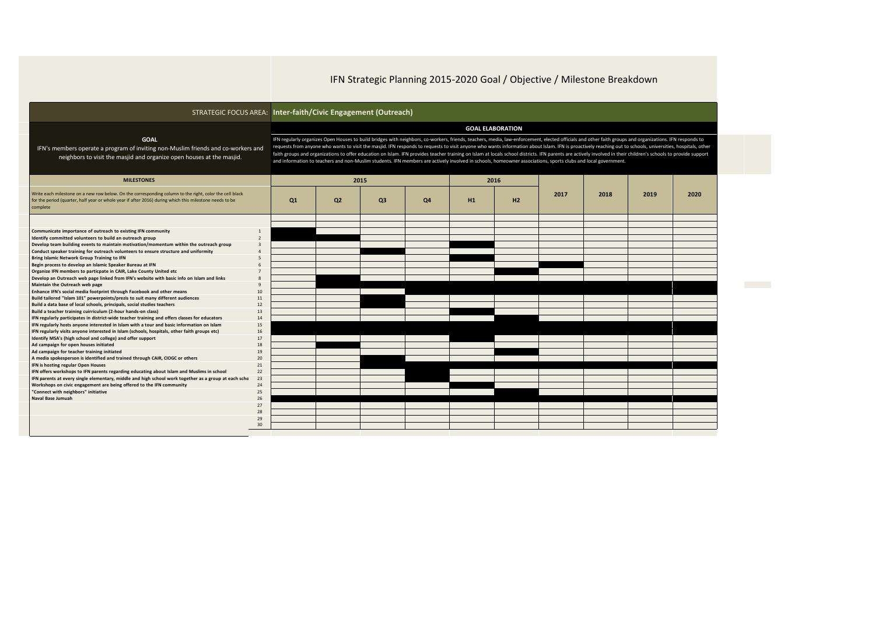|                                                                                                                                                                                                                                |                          | STRATEGIC FOCUS AREA: Inter-faith/Civic Engagement (Outreach)                                                                                                                                                                                                                                                                                                                                                                                                                                                                                                                                                                                                                                                                                                                                                                        |                |                |    |      |    |      |      |      |      |  |  |
|--------------------------------------------------------------------------------------------------------------------------------------------------------------------------------------------------------------------------------|--------------------------|--------------------------------------------------------------------------------------------------------------------------------------------------------------------------------------------------------------------------------------------------------------------------------------------------------------------------------------------------------------------------------------------------------------------------------------------------------------------------------------------------------------------------------------------------------------------------------------------------------------------------------------------------------------------------------------------------------------------------------------------------------------------------------------------------------------------------------------|----------------|----------------|----|------|----|------|------|------|------|--|--|
|                                                                                                                                                                                                                                |                          | <b>GOAL ELABORATION</b><br>IFN regularly organizes Open Houses to build bridges with neighbors, co-workers, friends, teachers, media, law-enforcement, elected officials and other faith groups and organizations. IFN responds to<br>requests from anyone who wants to visit the masjid. IFN responds to requests to visit anyone who wants information about Islam. IFN is proactively reaching out to schools, universities, hospitals, other<br>faith groups and organizations to offer education on Islam. IFN provides teacher training on Islam at locals school districts. IFN parents are actively involved in their children's schools to provide support<br>and information to teachers and non-Muslim students. IFN members are actively involved in schools, homeowner associations, sports clubs and local government. |                |                |    |      |    |      |      |      |      |  |  |
| <b>GOAL</b><br>IFN's members operate a program of inviting non-Muslim friends and co-workers and<br>neighbors to visit the masjid and organize open houses at the masjid.                                                      |                          |                                                                                                                                                                                                                                                                                                                                                                                                                                                                                                                                                                                                                                                                                                                                                                                                                                      |                |                |    |      |    |      |      |      |      |  |  |
| <b>MILESTONES</b>                                                                                                                                                                                                              |                          |                                                                                                                                                                                                                                                                                                                                                                                                                                                                                                                                                                                                                                                                                                                                                                                                                                      | 2015           |                |    | 2016 |    |      |      |      |      |  |  |
| Write each milestone on a new row below. On the corresponding column to the right, color the cell black<br>for the period (quarter, half year or whole year if after 2016) during which this milestone needs to be<br>complete |                          |                                                                                                                                                                                                                                                                                                                                                                                                                                                                                                                                                                                                                                                                                                                                                                                                                                      | Q <sub>2</sub> | Q <sub>3</sub> | Q4 | H1   | H2 | 2017 | 2018 | 2019 | 2020 |  |  |
|                                                                                                                                                                                                                                |                          |                                                                                                                                                                                                                                                                                                                                                                                                                                                                                                                                                                                                                                                                                                                                                                                                                                      |                |                |    |      |    |      |      |      |      |  |  |
| Communicate importance of outreach to existing IFN community                                                                                                                                                                   | $\mathbf{1}$             |                                                                                                                                                                                                                                                                                                                                                                                                                                                                                                                                                                                                                                                                                                                                                                                                                                      |                |                |    |      |    |      |      |      |      |  |  |
| Identify committed volunteers to build an outreach group                                                                                                                                                                       | $\overline{\phantom{a}}$ |                                                                                                                                                                                                                                                                                                                                                                                                                                                                                                                                                                                                                                                                                                                                                                                                                                      |                |                |    |      |    |      |      |      |      |  |  |
| Develop team building events to maintain motivation/momentum within the outreach group                                                                                                                                         | $\overline{3}$           |                                                                                                                                                                                                                                                                                                                                                                                                                                                                                                                                                                                                                                                                                                                                                                                                                                      |                |                |    |      |    |      |      |      |      |  |  |
| Conduct speaker training for outreach volunteers to ensure structure and uniformity                                                                                                                                            | $\overline{A}$           |                                                                                                                                                                                                                                                                                                                                                                                                                                                                                                                                                                                                                                                                                                                                                                                                                                      |                |                |    |      |    |      |      |      |      |  |  |
| Bring Islamic Network Group Training to IFN<br>Begin process to develop an Islamic Speaker Bureau at IFN                                                                                                                       | 5<br>-6                  |                                                                                                                                                                                                                                                                                                                                                                                                                                                                                                                                                                                                                                                                                                                                                                                                                                      |                |                |    |      |    |      |      |      |      |  |  |
| Organize IFN members to particpate in CAIR, Lake County United etc                                                                                                                                                             |                          |                                                                                                                                                                                                                                                                                                                                                                                                                                                                                                                                                                                                                                                                                                                                                                                                                                      |                |                |    |      |    |      |      |      |      |  |  |
| Develop an Outreach web page linked from IFN's website with basic info on Islam and links                                                                                                                                      | $\mathbf{g}$             |                                                                                                                                                                                                                                                                                                                                                                                                                                                                                                                                                                                                                                                                                                                                                                                                                                      |                |                |    |      |    |      |      |      |      |  |  |
| Maintain the Outreach web page                                                                                                                                                                                                 | $\mathbf{q}$             |                                                                                                                                                                                                                                                                                                                                                                                                                                                                                                                                                                                                                                                                                                                                                                                                                                      |                |                |    |      |    |      |      |      |      |  |  |
| Enhance IFN's social media footprint through Facebook and other means                                                                                                                                                          | 10                       |                                                                                                                                                                                                                                                                                                                                                                                                                                                                                                                                                                                                                                                                                                                                                                                                                                      |                |                |    |      |    |      |      |      |      |  |  |
| Build tailored "Islam 101" powerpoints/prezis to suit many different audiences                                                                                                                                                 | 11                       |                                                                                                                                                                                                                                                                                                                                                                                                                                                                                                                                                                                                                                                                                                                                                                                                                                      |                |                |    |      |    |      |      |      |      |  |  |
| Build a data base of local schools, principals, social studies teachers                                                                                                                                                        | 12                       |                                                                                                                                                                                                                                                                                                                                                                                                                                                                                                                                                                                                                                                                                                                                                                                                                                      |                |                |    |      |    |      |      |      |      |  |  |
| Build a teacher training cuirriculum (2-hour hands-on class)<br>IFN regularly participates in district-wide teacher training and offers classes for educators                                                                  | 13<br>14                 |                                                                                                                                                                                                                                                                                                                                                                                                                                                                                                                                                                                                                                                                                                                                                                                                                                      |                |                |    |      |    |      |      |      |      |  |  |
| IFN regularly hosts anyone interested in Islam with a tour and basic information on Islam                                                                                                                                      | 15                       |                                                                                                                                                                                                                                                                                                                                                                                                                                                                                                                                                                                                                                                                                                                                                                                                                                      |                |                |    |      |    |      |      |      |      |  |  |
| IFN regularly visits anyone interested in Islam (schools, hospitals, other faith groups etc)                                                                                                                                   | 16                       |                                                                                                                                                                                                                                                                                                                                                                                                                                                                                                                                                                                                                                                                                                                                                                                                                                      |                |                |    |      |    |      |      |      |      |  |  |
| Identify MSA's (high school and college) and offer support                                                                                                                                                                     | 17                       |                                                                                                                                                                                                                                                                                                                                                                                                                                                                                                                                                                                                                                                                                                                                                                                                                                      |                |                |    |      |    |      |      |      |      |  |  |
| Ad campaign for open houses initiated                                                                                                                                                                                          | 18                       |                                                                                                                                                                                                                                                                                                                                                                                                                                                                                                                                                                                                                                                                                                                                                                                                                                      |                |                |    |      |    |      |      |      |      |  |  |
| Ad campaign for teacher training initiated                                                                                                                                                                                     | 19                       |                                                                                                                                                                                                                                                                                                                                                                                                                                                                                                                                                                                                                                                                                                                                                                                                                                      |                |                |    |      |    |      |      |      |      |  |  |
| A media spokesperson is identified and trained through CAIR, CIOGC or others                                                                                                                                                   | 20                       |                                                                                                                                                                                                                                                                                                                                                                                                                                                                                                                                                                                                                                                                                                                                                                                                                                      |                |                |    |      |    |      |      |      |      |  |  |
| IFN is hosting regular Open Houses<br>IFN offers workshops to IFN parents regarding educating about Islam and Muslims in school                                                                                                | 21<br>22                 |                                                                                                                                                                                                                                                                                                                                                                                                                                                                                                                                                                                                                                                                                                                                                                                                                                      |                |                |    |      |    |      |      |      |      |  |  |
| IFN parents at every single elementary, middle and high school work together as a group at each scho                                                                                                                           | 23                       |                                                                                                                                                                                                                                                                                                                                                                                                                                                                                                                                                                                                                                                                                                                                                                                                                                      |                |                |    |      |    |      |      |      |      |  |  |
| Workshops on civic engagement are being offered to the IFN community                                                                                                                                                           | 24                       |                                                                                                                                                                                                                                                                                                                                                                                                                                                                                                                                                                                                                                                                                                                                                                                                                                      |                |                |    |      |    |      |      |      |      |  |  |
| "Connect with neighbors" initiative                                                                                                                                                                                            | 25                       |                                                                                                                                                                                                                                                                                                                                                                                                                                                                                                                                                                                                                                                                                                                                                                                                                                      |                |                |    |      |    |      |      |      |      |  |  |
| Naval Base Jumuah                                                                                                                                                                                                              | 26                       |                                                                                                                                                                                                                                                                                                                                                                                                                                                                                                                                                                                                                                                                                                                                                                                                                                      |                |                |    |      |    |      |      |      |      |  |  |
|                                                                                                                                                                                                                                | 27                       |                                                                                                                                                                                                                                                                                                                                                                                                                                                                                                                                                                                                                                                                                                                                                                                                                                      |                |                |    |      |    |      |      |      |      |  |  |
|                                                                                                                                                                                                                                | 28                       |                                                                                                                                                                                                                                                                                                                                                                                                                                                                                                                                                                                                                                                                                                                                                                                                                                      |                |                |    |      |    |      |      |      |      |  |  |
|                                                                                                                                                                                                                                | 29<br>30                 |                                                                                                                                                                                                                                                                                                                                                                                                                                                                                                                                                                                                                                                                                                                                                                                                                                      |                |                |    |      |    |      |      |      |      |  |  |
|                                                                                                                                                                                                                                |                          |                                                                                                                                                                                                                                                                                                                                                                                                                                                                                                                                                                                                                                                                                                                                                                                                                                      |                |                |    |      |    |      |      |      |      |  |  |